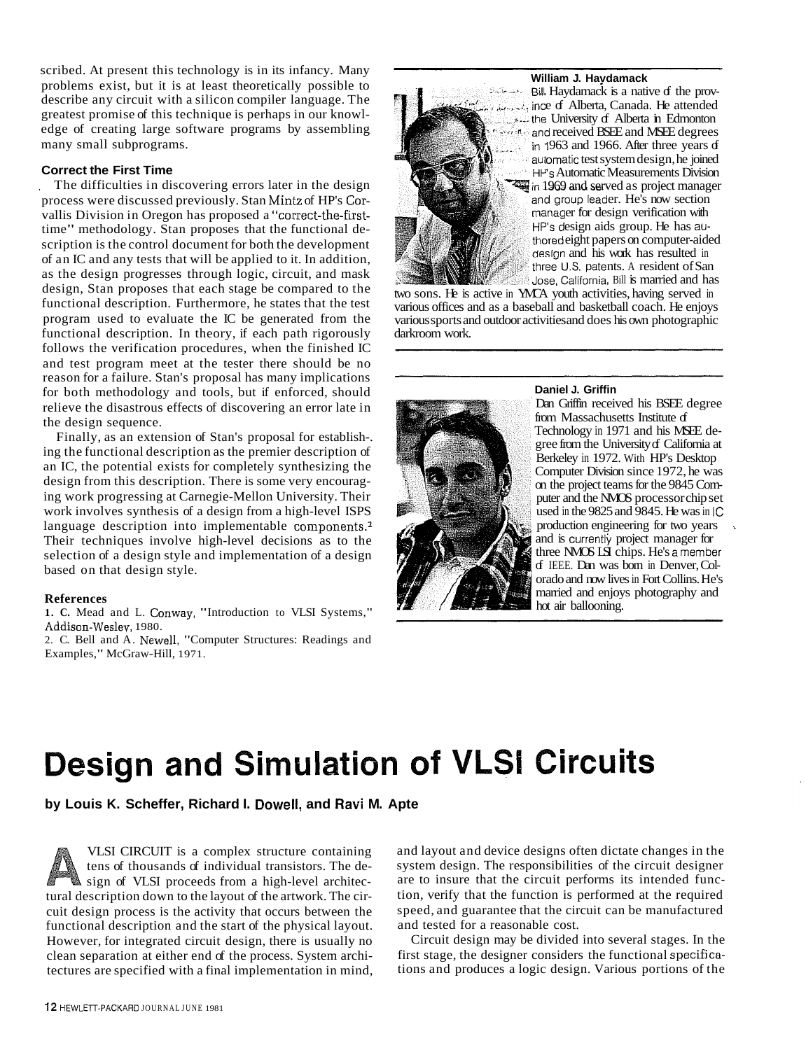scribed. At present this technology is in its infancy. Many problems exist, but it is at least theoretically possible to describe any circuit with a silicon compiler language. The greatest promise of this technique is perhaps in our knowledge of creating large software programs by assembling many small subprograms.

#### **Correct the First Time**

The difficulties in discovering errors later in the design process were discussed previously. Stan Mintz of HP's Corvallis Division in Oregon has proposed a "correct-the-firsttime" methodology. Stan proposes that the functional description is the control document for both the development of an IC and any tests that will be applied to it. In addition, as the design progresses through logic, circuit, and mask design, Stan proposes that each stage be compared to the functional description. Furthermore, he states that the test program used to evaluate the IC be generated from the functional description. In theory, if each path rigorously follows the verification procedures, when the finished IC and test program meet at the tester there should be no reason for a failure. Stan's proposal has many implications for both methodology and tools, but if enforced, should relieve the disastrous effects of discovering an error late in the design sequence.

Finally, as an extension of Stan's proposal for establish-. ing the functional description as the premier description of an IC, the potential exists for completely synthesizing the design from this description. There is some very encouraging work progressing at Carnegie-Mellon University. Their work involves synthesis of a design from a high-level ISPS language description into implementable components. $<sup>2</sup>$ </sup> Their techniques involve high-level decisions as to the selection of a design style and implementation of a design based on that design style.

#### **References**

**1. C.** Mead and L. Conway, "Introduction to VLSI Systems," Addison-Weslev, 1980.

2. C. Bell and A. Newell, "Computer Structures: Readings and Examples," McGraw-Hill, 1971.

#### **William J. Havdamack**



Bill Haydamack is a native of the prov- $\mathbb{R}$  ince of Alberta, Canada. He attended University of Alberta in Edmonton *received BSEE* and MSEE degrees in 1963 and 1966. After three years  $d$ automatic test system design, he joined 's Automatic Measurements Division in 1969 and served as project manager and group leader. He's now section manager for design verification with  $HP's$  design aids group. He has authored eight papers on computer-aided design and his work has resulted in three U.S. patents. A resident of San Jose, California, Bill is married and has

two sons. He is active in YMCA youth activities, having served in various offices and as a baseball and basketball coach. He enjoys various sports and outdoor activities and does his own photographic darkroom work.



#### **Daniel J. Griffin**

Dan Griffin received his BSEE degree from Massachusetts Institute of Technology in 1971 and his MSEE degree from the University of California at Berkeley in 1972. With HP's Desktop Computer Division since 1972, he was<br>on the project teams for the 9845 Computer and the NMOS processor chip set used in the 9825 and 9845. He was in IC production engineering for two years and is currently project manager for three NMOS LSI chips. He's amember of IEEE. Dan was born in Denver, Colorado and now lives in Fort Collins. He's married and enjoys photography and hot air ballooning.

# Design and Simulation of VLSI Circuits

**by Louis K. Scheffer, Richard I. Dowell, and Ravi M. Apte** 

VLSI CIRCUIT is a complex structure containing tens of thousands of individual transistors. The design of VLSI proceeds from a high-level architectural description down to the layout of the artwork. The circuit design process is the activity that occurs between the functional description and the start of the physical layout. However, for integrated circuit design, there is usually no clean separation at either end of the process. System architectures are specified with a final implementation in mind,

and layout and device designs often dictate changes in the system design. The responsibilities of the circuit designer are to insure that the circuit performs its intended function, verify that the function is performed at the required speed, and guarantee that the circuit can be manufactured and tested for a reasonable cost.

Circuit design may be divided into several stages. In the first stage, the designer considers the functional specifjcations and produces a logic design. Various portions of the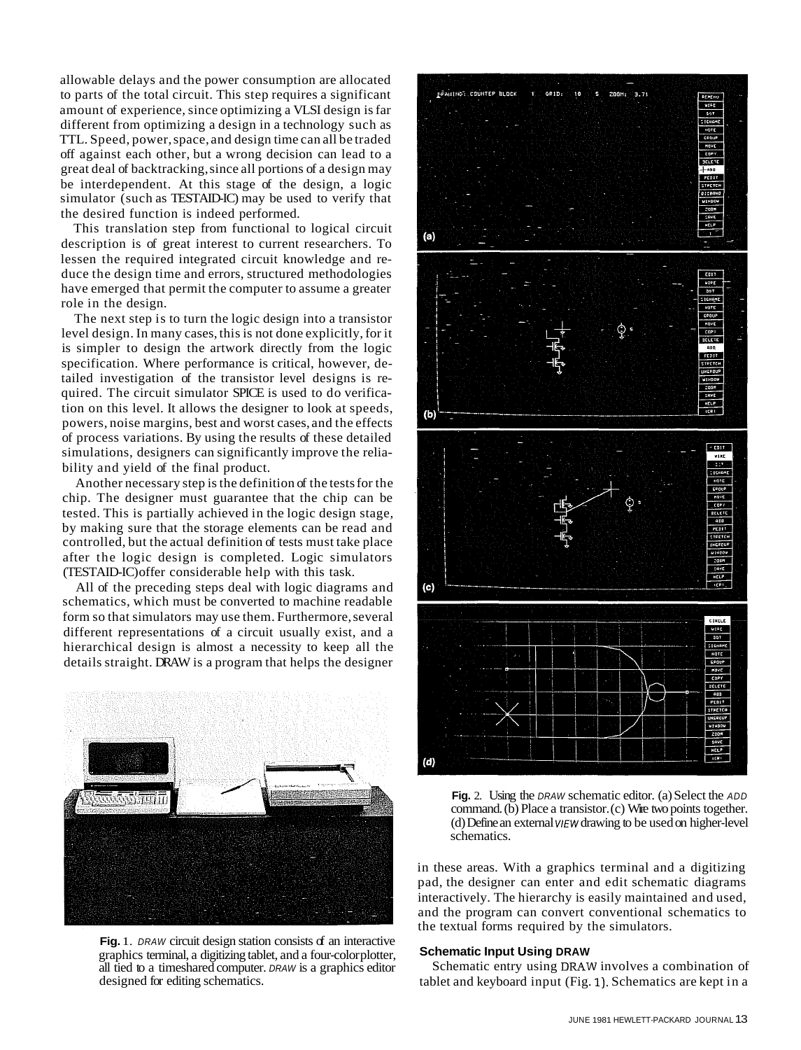allowable delays and the power consumption are allocated to parts of the total circuit. This step requires a significant amount of experience, since optimizing a VLSI design is far different from optimizing a design in a technology such as TTL. Speed, power, space, and design time can all be traded off against each other, but a wrong decision can lead to a great deal of backtracking, since all portions of a design may be interdependent. At this stage of the design, a logic simulator (such as TESTAID-IC) may be used to verify that the desired function is indeed performed.

This translation step from functional to logical circuit description is of great interest to current researchers. To lessen the required integrated circuit knowledge and reduce the design time and errors, structured methodologies have emerged that permit the computer to assume a greater role in the design.

The next step is to turn the logic design into a transistor level design. In many cases, this is not done explicitly, for it is simpler to design the artwork directly from the logic specification. Where performance is critical, however, detailed investigation of the transistor level designs is required. The circuit simulator SPICE is used to do verification on this level. It allows the designer to look at speeds, powers, noise margins, best and worst cases, and the effects of process variations. By using the results of these detailed simulations, designers can significantly improve the reliability and yield of the final product.

Another necessary step is the definition of the tests for the chip. The designer must guarantee that the chip can be tested. This is partially achieved in the logic design stage, by making sure that the storage elements can be read and controlled, but the actual definition of tests must take place after the logic design is completed. Logic simulators (TESTAID-IC) offer considerable help with this task.

All of the preceding steps deal with logic diagrams and schematics, which must be converted to machine readable form so that simulators may use them. Furthermore, several different representations of a circuit usually exist, and a hierarchical design is almost a necessity to keep all the details straight. DRAW is a program that helps the designer



Fig. 1. DRAW circuit design station consists of an interactive graphics terminal, a digitizing tablet, and a four-color plotter, all tied to a timeshared computer. DRAW is a graphics editor designed for editing schematics.





in these areas. With a graphics terminal and a digitizing pad, the designer can enter and edit schematic diagrams interactively. The hierarchy is easily maintained and used, and the program can convert conventional schematics to the textual forms required by the simulators.

#### **Schematic Input Using DRAW**

Schematic entry using DRAW involves a combination of tablet and keyboard input (Fig. **1).** Schematics are kept in a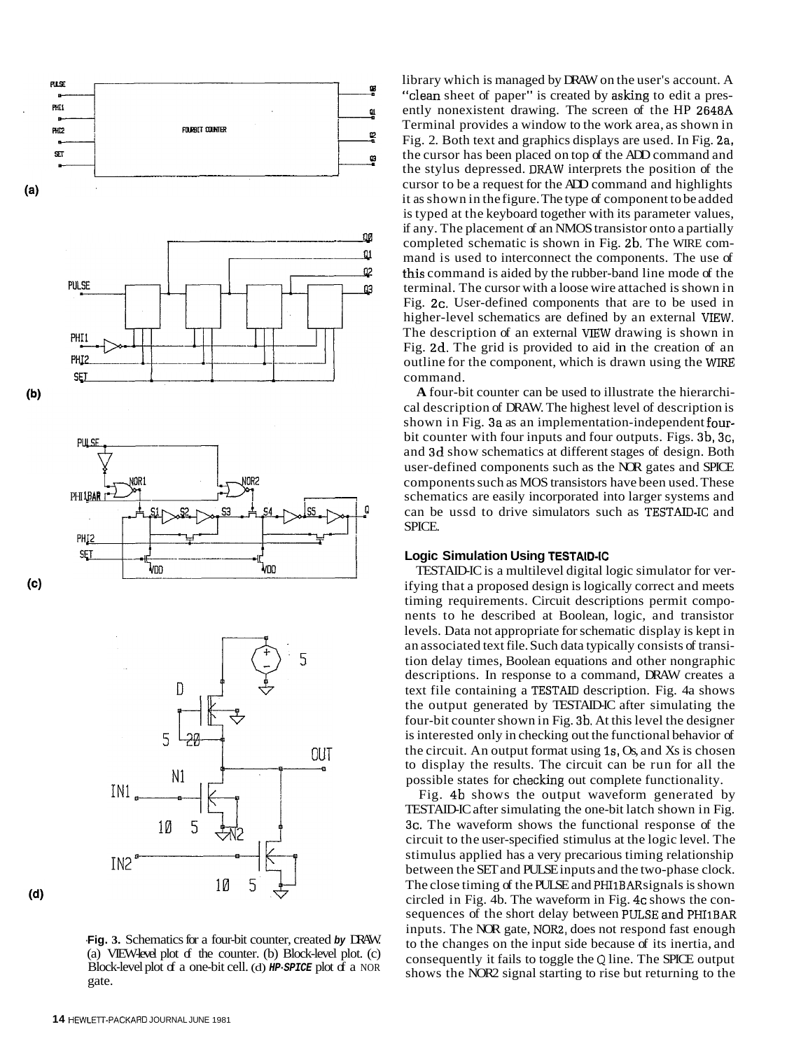

**-Fig. 3.** Schematics for a four-bit counter, created **by** DRAW. (a) VIEW-level plot  $f$  the counter. (b) Block-level plot. (c) Block-level plot of a one-bit cell. (d) **HP-SPICE** plot of a NOR gate.

library which is managed by DRAW on the user's account. A "clean sheet of paper" is created by asking to edit a presently nonexistent drawing. The screen of the HP 2648A Terminal provides a window to the work area, as shown in Fig. 2. Both text and graphics displays are used. In Fig. 2a, the cursor has been placed on top of the ADD command and the stylus depressed. DRAW interprets the position of the cursor to be a request for the ADD command and highlights it as shown in the figure. The type of component to be added is typed at the keyboard together with its parameter values, if any. The placement of an NMOS transistor onto a partially completed schematic is shown in Fig. 2b. The WIRE command is used to interconnect the components. The use of this command is aided by the rubber-band line mode of the terminal. The cursor with a loose wire attached is shown in Fig. 2c. User-defined components that are to be used in higher-level schematics are defined by an external VIEW. The description of an external vIEW drawing is shown in Fig. 2d. The grid is provided to aid in the creation of an outline for the component, which is drawn using the WTRE command.

**A** four-bit counter can be used to illustrate the hierarchical description of DRAW. The highest level of description is shown in Fig. 3a as an implementation-independent fourbit counter with four inputs and four outputs. Figs. 3b, 3c, and 3d show schematics at different stages of design. Both user-defined components such as the NOR gates and SPICE components such as MOS transistors have been used. These schematics are easily incorporated into larger systems and can be ussd to drive simulators such as TESTAID-IC and SPICE.

#### **Logic Simulation Using TESTAID-IC**

TESTAID-IC is a multilevel digital logic simulator for verifying that a proposed design is logically correct and meets timing requirements. Circuit descriptions permit components to he described at Boolean, logic, and transistor levels. Data not appropriate for schematic display is kept in an associated text file. Such data typically consists of transition delay times, Boolean equations and other nongraphic descriptions. In response to a command, DRAW creates a text file containing a TESTAID description. Fig. 4a shows the output generated by TESTAID-IC after simulating the four-bit counter shown in Fig. 3b. At this level the designer is interested only in checking out the functional behavior of the circuit. An output format using Is, Os, and Xs is chosen to display the results. The circuit can be run for all the possible states for checking out complete functionality.

Fig. 4b shows the output waveform generated by TESTAID-IC after simulating the one-bit latch shown in Fig. 3c. The waveform shows the functional response of the circuit to the user-specified stimulus at the logic level. The stimulus applied has a very precarious timing relationship between the SET and PULSE inputs and the two-phase clock. The close timing of the PULSE and PHI1BAR signals is shown circled in Fig. 4b. The waveform in Fig. 4c shows the consequences of the short delay between PULSE and PHI1BAR inputs. The NOR gate, NOR2, does not respond fast enough to the changes on the input side because of its inertia, and consequently it fails to toggle the Q line. The SPICE output shows the NOR2 signal starting to rise but returning to the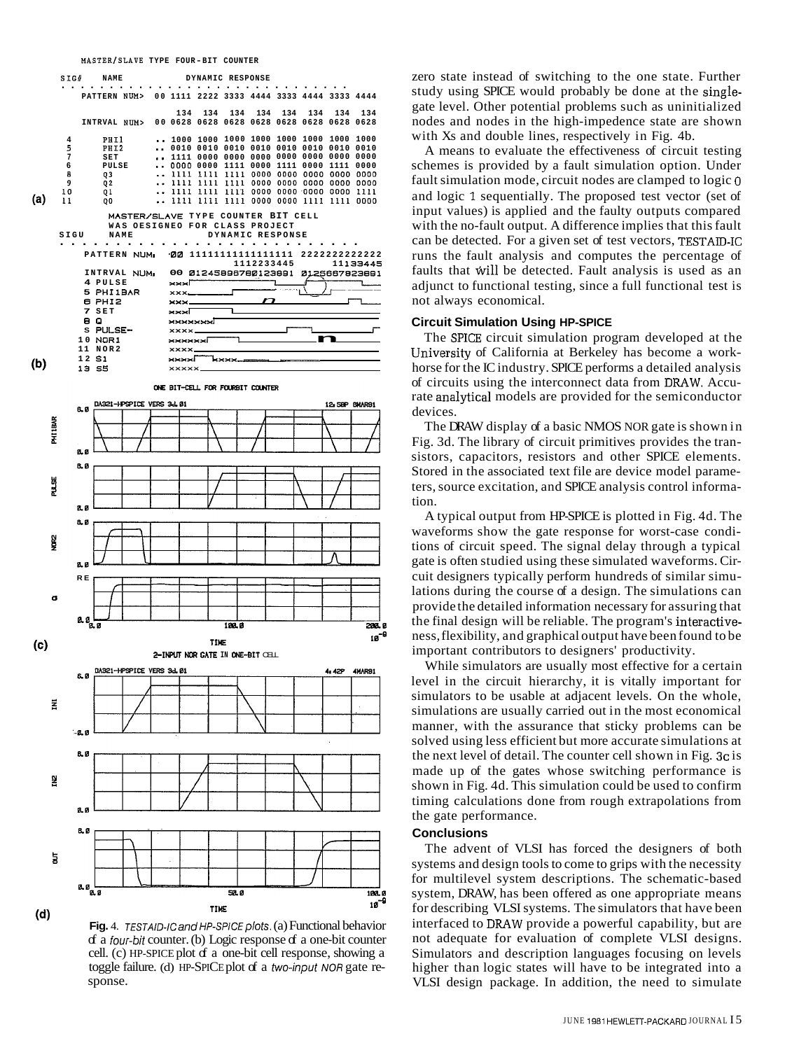

**(d)**<br>**Fig.** 4. TESTAID-IC and HP-SPICE plots. (a) Functional behavior  $\sigma$  a *four-bit* counter. (b) Logic response  $\sigma$  a one-bit counter cell. (c) HP-SPICE plot of a one-bit cell response, showing a toggle failure. (d) HP-SPICE plot of a two-input NOR gate response.

zero state instead of switching to the one state. Further study using SPICE would probably be done at the singlegate level. Other potential problems such as uninitialized nodes and nodes in the high-impedence state are shown with Xs and double lines, respectively in Fig. 4b.

A means to evaluate the effectiveness of circuit testing schemes is provided by a fault simulation option. Under fault simulation mode, circuit nodes are clamped to logic 0 and logic **1** sequentially. The proposed test vector (set of input values) is applied and the faulty outputs compared with the no-fault output. A difference implies that this fault can be detected. For a given set of test vectors, TESTAID-IC runs the fault analysis and computes the percentage of faults that will be detected. Fault analysis is used as an adjunct to functional testing, since a full functional test is not always economical.

#### **Circuit Simulation Using HP-SPICE**

The SPICE circuit simulation program developed at the University of California at Berkeley has become a workhorse for the IC industry. SPICE performs a detailed analysis of circuits using the interconnect data from DRAW. Accurate analytical models are provided for the semiconductor devices.

The DRAW display of a basic NMOS NOR gate is shown in Fig. 3d. The library of circuit primitives provides the transistors, capacitors, resistors and other SPICE elements. Stored in the associated text file are device model parameters, source excitation, and SPICE analysis control information.

A typical output from HP-SPICE is plotted in Fig. 4d. The waveforms show the gate response for worst-case conditions of circuit speed. The signal delay through a typical gate is often studied using these simulated waveforms. Circuit designers typically perform hundreds of similar simulations during the course of a design. The simulations can provide the detailed information necessary for assuring that the final design will be reliable. The program's interactiveness, flexibility, and graphical output have been found to be important contributors to designers' productivity.

While simulators are usually most effective for a certain level in the circuit hierarchy, it is vitally important for simulators to be usable at adjacent levels. On the whole, simulations are usually carried out in the most economical manner, with the assurance that sticky problems can be solved using less efficient but more accurate simulations at the next level of detail. The counter cell shown in Fig. 3c is made up of the gates whose switching performance is shown in Fig. 4d. This simulation could be used to confirm timing calculations done from rough extrapolations from the gate performance.

#### **Conclusions**

The advent of VLSI has forced the designers of both systems and design tools to come to grips with the necessity for multilevel system descriptions. The schematic-based system, DRAW, has been offered as one appropriate means for describing VLSI systems. The simulators that have been interfaced to DRAW provide a powerful capability, but are not adequate for evaluation of complete VLSI designs. Simulators and description languages focusing on levels higher than logic states will have to be integrated into a VLSI design package. In addition, the need to simulate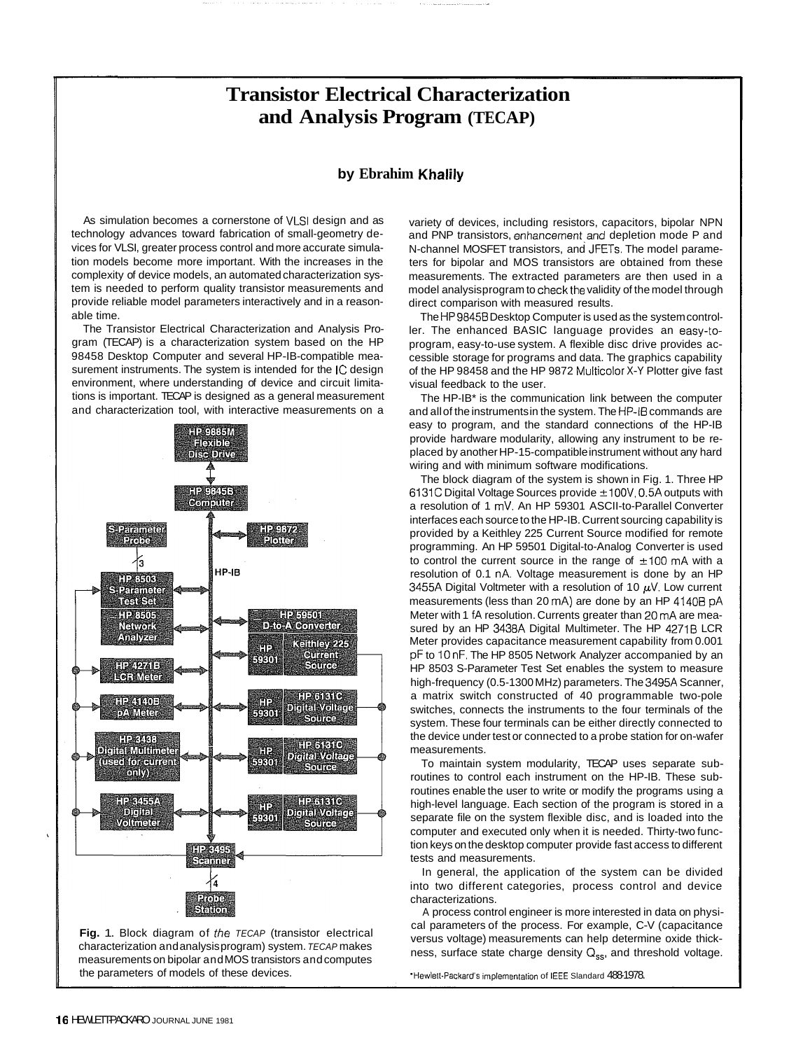## **Transistor Electrical Characterization and Analysis Program (TECAP)**

### **by Ebrahim Khalily**

As simulation becomes a cornerstone of VLSI design and as technology advances toward fabrication of small-geometry devices for VLSI, greater process control and more accurate simulation models become more important. With the increases in the complexity of device models, an automated characterization system is needed to perform quality transistor measurements and provide reliable model parameters interactively and in a reasonable time.

The Transistor Electrical Characterization and Analysis Program (TECAP) is a characterization system based on the HP 98458 Desktop Computer and several HP-IB-compatible measurement instruments. The system is intended for the IC design environment, where understanding of device and circuit limitations is important. TECAP is designed as a general measurement and characterization tool, with interactive measurements on a



**Fig.** 1. Block diagram of the TECAP (transistor electrical characterization and analysis program) system. TECAP makes measurements on bipolar and MOS transistors and computes the parameters of models of these devices.

variety of devices, including resistors, capacitors, bipolar NPN and PNP transistors, enhancement and depletion mode P and N-channel MOSFET transistors, and JFETs. The model parameters for bipolar and MOS transistors are obtained from these measurements. The extracted parameters are then used in a model analysis program to check the validity of the model through direct comparison with measured results.

The HP9845B Desktop Computer is used as the system controller. The enhanced BASIC language provides an easy-toprogram, easy-to-use system. A flexible disc drive provides accessible storage for programs and data. The graphics capability of the HP 98458 and the HP 9872 Multicolor X-Y Plotter give fast visual feedback to the user.

The HP-IB\* is the communication link between the computer and all of the instruments in the system. The HP-IB commands are easy to program, and the standard connections of the HP-IB provide hardware modularity, allowing any instrument to be replaced by another HP-15-compatible instrument without any hard wiring and with minimum software modifications.

The block diagram of the system is shown in Fig. 1. Three HP  $6131C$  Digital Voltage Sources provide  $\pm 100V$ , 0.5A outputs with a resolution of 1 mV. An HP 59301 ASCII-to-Parallel Converter interfaces each source to the HP-IB. Current sourcing capability is provided by a Keithley 225 Current Source modified for remote programming. An HP 59501 Digital-to-Analog Converter is used to control the current source in the range of  $\pm 100$  mA with a resolution of 0.1 nA. Voltage measurement is done by an HP 3455A Digital Voltmeter with a resolution of 10  $\mu$ V. Low current measurements (less than 20 mA) are done by an HP 41408 pA Meter with 1 fA resolution. Currents greater than 20 mA are measured by an HP 3438A Digital Multimeter. The HP 42718 LCR Meter provides capacitance measurement capability from 0.001 pF to 10 nF. The HP 8505 Network Analyzer accompanied by an HP 8503 S-Parameter Test Set enables the system to measure high-frequency (0.5-1300 MHz) parameters. The 3495A Scanner, a matrix switch constructed of 40 programmable two-pole switches, connects the instruments to the four terminals of the system. These four terminals can be either directly connected to the device under test or connected to a probe station for on-wafer measurements.

To maintain system modularity, TECAP uses separate subroutines to control each instrument on the HP-IB. These subroutines enable the user to write or modify the programs using a high-level language. Each section of the program is stored in a separate file on the system flexible disc, and is loaded into the computer and executed only when it is needed. Thirty-two function keys on the desktop computer provide fast access to different tests and measurements.

In general, the application of the system can be divided into two different categories, process control and device characterizations.

A process control engineer is more interested in data on physical parameters of the process. For example, C-V (capacitance versus voltage) measurements can help determine oxide thickness, surface state charge density  $Q_{ss}$ , and threshold voltage.

'Hewlelt-Packard's mplementalion of IEEE Slandard 488-1978.